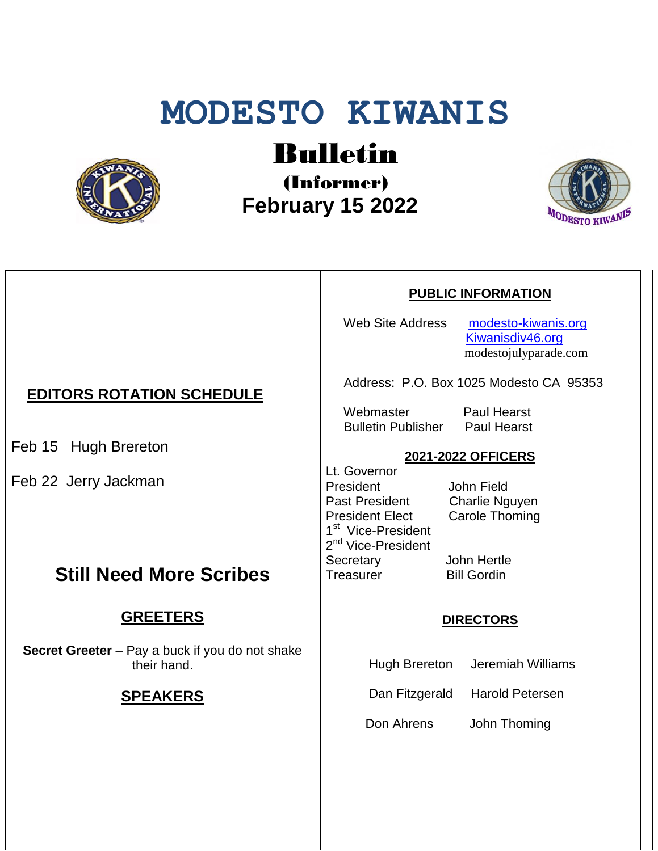# **MODESTO KIWANIS**



# Bulletin

(Informer)  **February 15 2022**



#### **PUBLIC INFORMATION**

Web Site Address [modesto-kiwanis.org](http://modesto-kiwanis.org/) [Kiwanisdiv46.org](http://www.kiwanisdiv46.org/) modestojulyparade.com

Address: P.O. Box 1025 Modesto CA 95353

Webmaster Paul Hearst Bulletin Publisher Paul Hearst

#### **2021-2022 OFFICERS**

Lt. Governor President John Field<br>Past President Charlie Ng President Elect Carole Thoming 1<sup>st</sup> Vice-President 2<sup>nd</sup> Vice-President Secretary John Hertle Treasurer Bill Gordin

Charlie Nguyen

#### **DIRECTORS**

Hugh Brereton Jeremiah Williams

Dan Fitzgerald Harold Petersen

Don Ahrens John Thoming

### **EDITORS ROTATION SCHEDULE**

Feb 15 Hugh Brereton

Feb 22 Jerry Jackman

## **Still Need More Scribes**

#### **GREETERS**

**Secret Greeter** – Pay a buck if you do not shake their hand.

#### **SPEAKERS**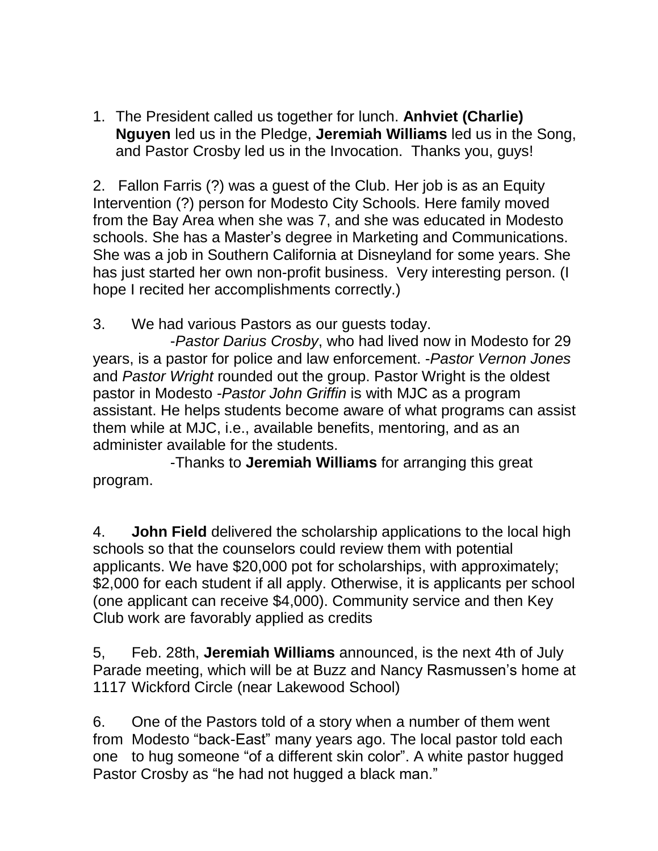1. The President called us together for lunch. **Anhviet (Charlie) Nguyen** led us in the Pledge, **Jeremiah Williams** led us in the Song, and Pastor Crosby led us in the Invocation. Thanks you, guys!

2. Fallon Farris (?) was a guest of the Club. Her job is as an Equity Intervention (?) person for Modesto City Schools. Here family moved from the Bay Area when she was 7, and she was educated in Modesto schools. She has a Master's degree in Marketing and Communications. She was a job in Southern California at Disneyland for some years. She has just started her own non-profit business. Very interesting person. (I hope I recited her accomplishments correctly.)

3. We had various Pastors as our guests today.

-*Pastor Darius Crosby*, who had lived now in Modesto for 29 years, is a pastor for police and law enforcement. -*Pastor Vernon Jones* and *Pastor Wright* rounded out the group. Pastor Wright is the oldest pastor in Modesto -*Pastor John Griffin* is with MJC as a program assistant. He helps students become aware of what programs can assist them while at MJC, i.e., available benefits, mentoring, and as an administer available for the students.

-Thanks to **Jeremiah Williams** for arranging this great program.

4. **John Field** delivered the scholarship applications to the local high schools so that the counselors could review them with potential applicants. We have \$20,000 pot for scholarships, with approximately; \$2,000 for each student if all apply. Otherwise, it is applicants per school (one applicant can receive \$4,000). Community service and then Key Club work are favorably applied as credits

5, Feb. 28th, **Jeremiah Williams** announced, is the next 4th of July Parade meeting, which will be at Buzz and Nancy Rasmussen's home at 1117 Wickford Circle (near Lakewood School)

6. One of the Pastors told of a story when a number of them went from Modesto "back-East" many years ago. The local pastor told each one to hug someone "of a different skin color". A white pastor hugged Pastor Crosby as "he had not hugged a black man."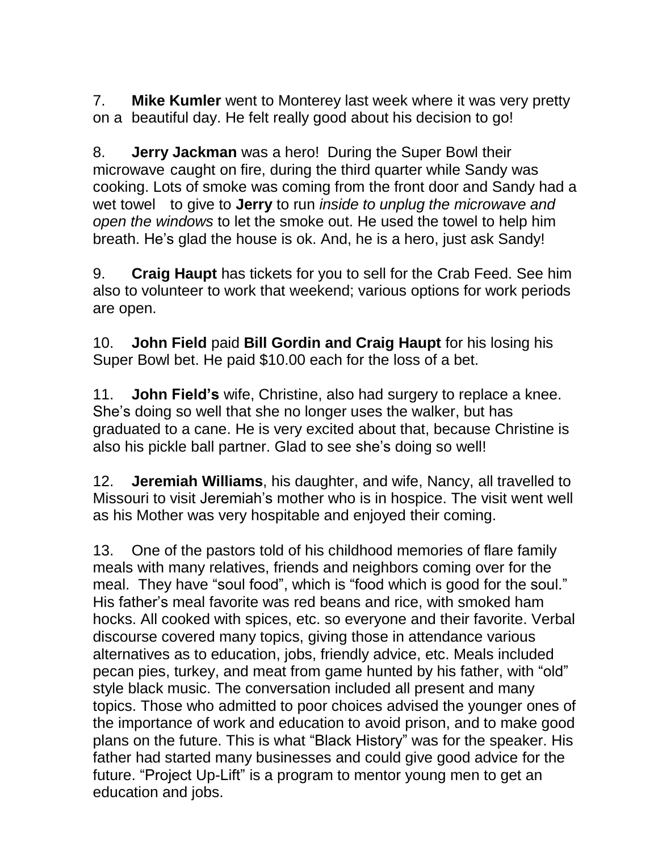7. **Mike Kumler** went to Monterey last week where it was very pretty on a beautiful day. He felt really good about his decision to go!

8. **Jerry Jackman** was a hero! During the Super Bowl their microwave caught on fire, during the third quarter while Sandy was cooking. Lots of smoke was coming from the front door and Sandy had a wet towel to give to **Jerry** to run *inside to unplug the microwave and open the windows* to let the smoke out. He used the towel to help him breath. He's glad the house is ok. And, he is a hero, just ask Sandy!

9. **Craig Haupt** has tickets for you to sell for the Crab Feed. See him also to volunteer to work that weekend; various options for work periods are open.

10. **John Field** paid **Bill Gordin and Craig Haupt** for his losing his Super Bowl bet. He paid \$10.00 each for the loss of a bet.

11. **John Field's** wife, Christine, also had surgery to replace a knee. She's doing so well that she no longer uses the walker, but has graduated to a cane. He is very excited about that, because Christine is also his pickle ball partner. Glad to see she's doing so well!

12. **Jeremiah Williams**, his daughter, and wife, Nancy, all travelled to Missouri to visit Jeremiah's mother who is in hospice. The visit went well as his Mother was very hospitable and enjoyed their coming.

13. One of the pastors told of his childhood memories of flare family meals with many relatives, friends and neighbors coming over for the meal. They have "soul food", which is "food which is good for the soul." His father's meal favorite was red beans and rice, with smoked ham hocks. All cooked with spices, etc. so everyone and their favorite. Verbal discourse covered many topics, giving those in attendance various alternatives as to education, jobs, friendly advice, etc. Meals included pecan pies, turkey, and meat from game hunted by his father, with "old" style black music. The conversation included all present and many topics. Those who admitted to poor choices advised the younger ones of the importance of work and education to avoid prison, and to make good plans on the future. This is what "Black History" was for the speaker. His father had started many businesses and could give good advice for the future. "Project Up-Lift" is a program to mentor young men to get an education and jobs.